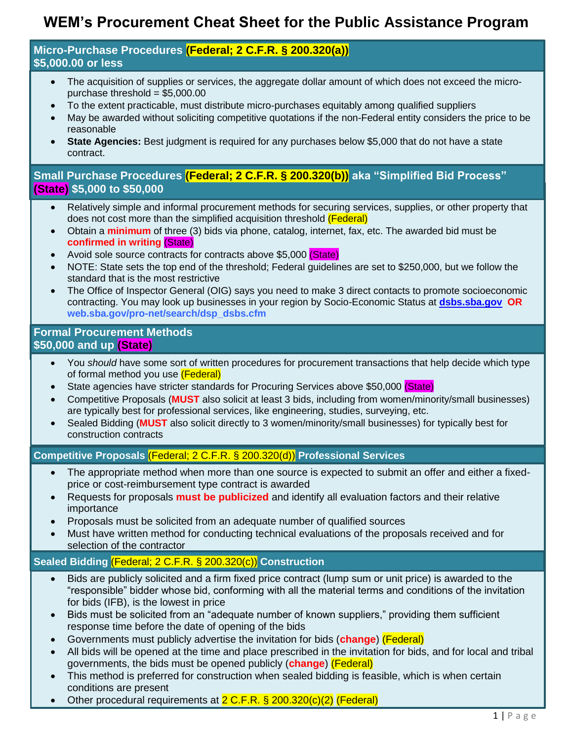# **WEM's Procurement Cheat Sheet for the Public Assistance Program**

#### **Micro-Purchase Procedures (Federal; 2 C.F.R. § 200.320(a)) \$5,000.00 or less**

- The acquisition of supplies or services, the aggregate dollar amount of which does not exceed the micropurchase threshold = \$5,000.00
- To the extent practicable, must distribute micro-purchases equitably among qualified suppliers
- May be awarded without soliciting competitive quotations if the non-Federal entity considers the price to be reasonable
- **State Agencies:** Best judgment is required for any purchases below \$5,000 that do not have a state contract.

## **Small Purchase Procedures (Federal; 2 C.F.R. § 200.320(b)) aka "Simplified Bid Process" (State) \$5,000 to \$50,000**

- Relatively simple and informal procurement methods for securing services, supplies, or other property that does not cost more than the simplified acquisition threshold (Federal)
- Obtain a **minimum** of three (3) bids via phone, catalog, internet, fax, etc. The awarded bid must be **confirmed in writing** (State)
- Avoid sole source contracts for contracts above \$5,000 (State)
- NOTE: State sets the top end of the threshold; Federal guidelines are set to \$250,000, but we follow the standard that is the most restrictive
- The Office of Inspector General (OIG) says you need to make 3 direct contacts to promote socioeconomic contracting. You may look up businesses in your region by Socio-Economic Status at **[dsbs.sba.gov](http://www.dsbs.sba.gov/) OR web.sba.gov/pro-net/search/dsp\_dsbs.cfm**

#### **Formal Procurement Methods \$50,000 and up (State)**

- You *should* have some sort of written procedures for procurement transactions that help decide which type of formal method you use (Federal)
- State agencies have stricter standards for Procuring Services above \$50,000 (State)
- Competitive Proposals (**MUST** also solicit at least 3 bids, including from women/minority/small businesses) are typically best for professional services, like engineering, studies, surveying, etc.
- Sealed Bidding (**MUST** also solicit directly to 3 women/minority/small businesses) for typically best for construction contracts

#### **Competitive Proposals** (Federal; 2 C.F.R. § 200.320(d)) **Professional Services**

- The appropriate method when more than one source is expected to submit an offer and either a fixedprice or cost-reimbursement type contract is awarded
- Requests for proposals **must be publicized** and identify all evaluation factors and their relative importance
- Proposals must be solicited from an adequate number of qualified sources
- Must have written method for conducting technical evaluations of the proposals received and for selection of the contractor

## **Sealed Bidding** (Federal; 2 C.F.R. § 200.320(c)) **Construction**

- Bids are publicly solicited and a firm fixed price contract (lump sum or unit price) is awarded to the "responsible" bidder whose bid, conforming with all the material terms and conditions of the invitation for bids (IFB), is the lowest in price
- Bids must be solicited from an "adequate number of known suppliers," providing them sufficient response time before the date of opening of the bids
- Governments must publicly advertise the invitation for bids (**change**) (Federal)
- All bids will be opened at the time and place prescribed in the invitation for bids, and for local and tribal governments, the bids must be opened publicly (**change**) (Federal)
- This method is preferred for construction when sealed bidding is feasible, which is when certain conditions are present
- Other procedural requirements at 2 C.F.R. § 200.320(c)(2) (Federal)